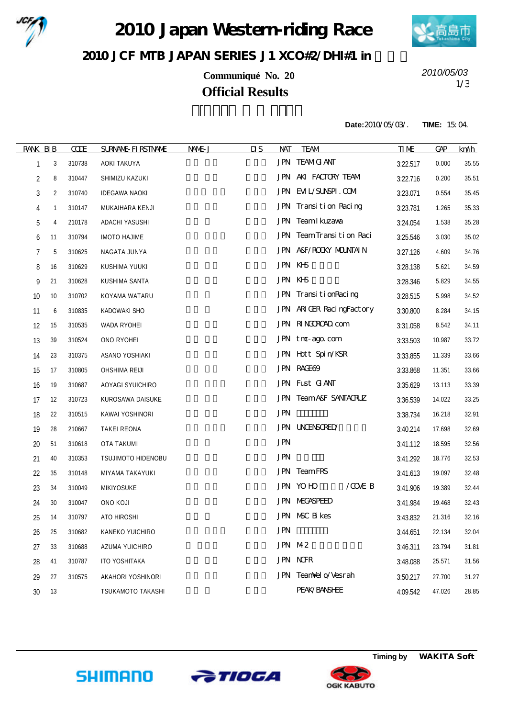

2010 Japan Western-riding Race



## 2010 JCF MIB JAPAN SERIES J1 XCO#2/DH#1 in

**Communiqué No. 20** 1/3 **Official Results**

*2010/05/03*

**Date:**2010/05/03/. **TIME:** 15:04.

| <b>RANK BIB</b> |    | CCE    | <b>SURNAME FIRSTNAME</b> | NAME J | $\overline{\mathbf{u}}$<br><b>NAT</b> | <b>TEAM</b>                      | <b>TIME</b> | <b>GAP</b> | km/h  |
|-----------------|----|--------|--------------------------|--------|---------------------------------------|----------------------------------|-------------|------------|-------|
| 1               | 3  | 310738 | AOKI TAKUYA              |        |                                       | <b>JPN TEAMG ANT</b>             | 3:22.517    | 0.000      | 35.55 |
| $\overline{2}$  | 8  | 310447 | SHIMIZU KAZUKI           |        |                                       | JPN AKI FACTORY TEAM             | 3:22.716    | 0.200      | 35.51 |
| $\sqrt{3}$      | 2  | 310740 | <b>IDEGAWA NAOKI</b>     |        |                                       | JPN EML/SUNSPI.COM               | 3:23.071    | 0.554      | 35.45 |
| 4               | 1  | 310147 | MUKAIHARA KENJI          |        |                                       | JPN Transition Racing            | 3:23.781    | 1.265      | 35.33 |
| 5               | 4  | 210178 | ADACHI YASUSHI           |        |                                       | JPN Team I kuzawa                | 3:24.054    | 1.538      | 35.28 |
| 6               | 11 | 310794 | <b>IMOTO HAJIME</b>      |        |                                       | JPN TeamTransition Raci          | 3:25.546    | 3.030      | 35.02 |
| 7               | 5  | 310625 | NAGATA JUNYA             |        |                                       | JPN A&F/ROOKY MOUNTAIN           | 3:27.126    | 4.609      | 34.76 |
| 8               | 16 | 310629 | KUSHIMA YUUKI            |        |                                       | JPN KHS                          | 3:28.138    | 5.621      | 34.59 |
| 9               | 21 | 310628 | KUSHIMA SANTA            |        |                                       | JPN KHS                          | 3:28.346    | 5.829      | 34.55 |
| 10              | 10 | 310702 | KOYAMA WATARU            |        |                                       | JPN TransitionRacing             | 3:28.515    | 5.998      | 34.52 |
| 11              | 6  | 310835 | KADOWAKI SHO             |        |                                       | JPN ARIGER RacingFactory         | 3:30.800    | 8.284      | 34.15 |
| 12              | 15 | 310535 | WADA RYOHEI              |        |                                       | JPN RINGROAD com                 | 3:31.058    | 8.542      | 34.11 |
| 13              | 39 | 310524 | ONO RYOHEI               |        |                                       | JPN tno-ago.com                  | 3:33.503    | 10.987     | 33.72 |
| 14              | 23 | 310375 | ASANO YOSHIAKI           |        |                                       | JPN Hott Spin/KSR                | 3:33.855    | 11.339     | 33.66 |
| 15              | 17 | 310805 | OHSHIMA REIJI            |        |                                       | <b>JPN RACE69</b>                | 3:33.868    | 11.351     | 33.66 |
| 16              | 19 | 310687 | AOYAGI SYUICHIRO         |        |                                       | JPN Fust GANT                    | 3:35.629    | 13.113     | 33.39 |
| 17              | 12 | 310723 | KUROSAWA DAISUKE         |        |                                       | <b>JPN TeamA&amp;F SANTACRUZ</b> | 3:36.539    | 14.022     | 33.25 |
| 18              | 22 | 310515 | KAWAI YOSHINORI          |        | <b>JPN</b>                            |                                  | 3:38.734    | 16.218     | 32.91 |
| 19              | 28 | 210667 | <b>TAKEI REONA</b>       |        |                                       | <b>JPN UNENSORED</b>             | 3:40.214    | 17.698     | 32.69 |
| 20              | 51 | 310618 | OTA TAKUMI               |        | <b>JPN</b>                            |                                  | 3:41.112    | 18.595     | 32.56 |
| 21              | 40 | 310353 | TSUJIMOTO HIDENOBU       |        | <b>JPN</b>                            |                                  | 3:41.292    | 18.776     | 32.53 |
| 22              | 35 | 310148 | MIYAMA TAKAYUKI          |        |                                       | JPN TeamFRS                      | 3:41.613    | 19.097     | 32.48 |
| 23              | 34 | 310049 | MIKIYOSUKE               |        |                                       | JPN YOHO<br>/COE B               | 3:41.906    | 19.389     | 32.44 |
| 24              | 30 | 310047 | ONO KOJI                 |        |                                       | <b>JPN MEGASPEED</b>             | 3:41.984    | 19.468     | 32.43 |
| 25              | 14 | 310797 | ATO HIROSHI              |        |                                       | JPN NSC Bikes                    | 3:43.832    | 21.316     | 32.16 |
| 26              | 25 | 310682 | KANEKO YUICHIRO          |        | <b>JPN</b>                            |                                  | 3:44.651    | 22.134     | 32.04 |
| 27              | 33 | 310688 | AZUMA YUICHIRO           |        |                                       | JPN M2                           | 3:46.311    | 23.794     | 31.81 |
| 28              | 41 | 310787 | <b>ITO YOSHITAKA</b>     |        |                                       | <b>JPN NOR</b>                   | 3:48.088    | 25.571     | 31.56 |
| 29              | 27 | 310575 | AKAHORI YOSHINORI        |        |                                       | JPN TeanNel o/Vesrah             | 3:50.217    | 27.700     | 31.27 |
| 30              | 13 |        | TSUKAMOTO TAKASHI        |        |                                       | PEAK/BANSHEE                     | 4:09.542    | 47.026     | 28.85 |
|                 |    |        |                          |        |                                       |                                  |             |            |       |



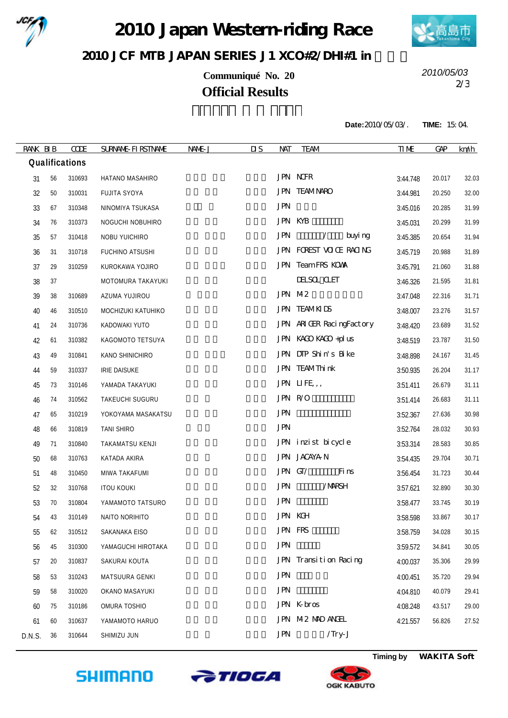

2010 Japan Western riding Race



## 2010 JCF MIB JAPAN SERIES J1 XCO#2/DH#1 in

**Communiqué No. 20** 2/3 **Official Results**

*2010/05/03*

**Date:**2010/05/03/. **TIME:** 15:04.

| RANK BIB |    | <b>CODE</b>    | <b>SURNAME FIRSTNAME</b> | NAME J | $\overline{\mathbf{u}}$<br>NAT | <b>TEAM</b>              | <b>TIME</b> | <b>GAP</b> | km/h  |
|----------|----|----------------|--------------------------|--------|--------------------------------|--------------------------|-------------|------------|-------|
|          |    | Qualifications |                          |        |                                |                          |             |            |       |
| 31       | 56 | 310693         | HATANO MASAHIRO          |        |                                | <b>JPN NOFR</b>          | 3:44.748    | 20.017     | 32.03 |
| 32       | 50 | 310031         | <b>FUJITA SYOYA</b>      |        |                                | <b>JPN TEAMNARO</b>      | 3:44.981    | 20.250     | 32.00 |
| 33       | 67 | 310348         | NINOMIYA TSUKASA         |        | <b>JPN</b>                     |                          | 3:45.016    | 20.285     | 31.99 |
| 34       | 76 | 310373         | NOGUCHI NOBUHIRO         |        |                                | <b>JPN KYB</b>           | 3:45.031    | 20.299     | 31.99 |
| 35       | 57 | 310418         | NOBU YUICHIRO            |        | <b>JPN</b>                     | buyi ng<br>$\sqrt{2}$    | 3:45.385    | 20.654     | 31.94 |
| 36       | 31 | 310718         | FUCHINO ATSUSHI          |        |                                | JPN FOREST VOCE RAONG    | 3:45.719    | 20.988     | 31.89 |
| 37       | 29 | 310259         | KUROKAWA YOJIRO          |        |                                | JPN TeamFRS KOWA         | 3:45.791    | 21.060     | 31.88 |
| 38       | 37 |                | MOTOMURA TAKAYUKI        |        |                                | <b>DESC CET</b>          | 3:46.326    | 21.595     | 31.81 |
| 39       | 38 | 310689         | AZUMA YUJIROU            |        |                                | JPN M2                   | 3:47.048    | 22.316     | 31.71 |
| 40       | 46 | 310510         | MOCHIZUKI KATUHIKO       |        |                                | <b>JPN TEAMKIDS</b>      | 3:48.007    | 23.276     | 31.57 |
| 41       | 24 | 310736         | KADOWAKI YUTO            |        |                                | JPN ARIGER RacingFactory | 3:48.420    | 23.689     | 31.52 |
| 42       | 61 | 310382         | KAGOMOTO TETSUYA         |        |                                | JPN KACO KACO + plus     | 3:48.519    | 23.787     | 31.50 |
| 43       | 49 | 310841         | KANO SHINICHIRO          |        |                                | JPN DIP Shin's Bike      | 3:48.898    | 24.167     | 31.45 |
| 44       | 59 | 310337         | <b>IRIE DAISUKE</b>      |        |                                | JPN TEAMThink            | 3:50.935    | 26.204     | 31.17 |
| 45       | 73 | 310146         | YAMADA TAKAYUKI          |        |                                | JPN LIFE,,               | 3:51.411    | 26.679     | 31.11 |
| 46       | 74 | 310562         | TAKEUCHI SUGURU          |        |                                | JPN R/O                  | 3:51.414    | 26.683     | 31.11 |
| 47       | 65 | 310219         | YOKOYAMA MASAKATSU       |        | <b>JPN</b>                     |                          | 3:52.367    | 27.636     | 30.98 |
| 48       | 66 | 310819         | <b>TANI SHIRO</b>        |        | <b>JPN</b>                     |                          | 3:52.764    | 28.032     | 30.93 |
| 49       | 71 | 310840         | TAKAMATSU KENJI          |        |                                | JPN inzist bicycle       | 3:53.314    | 28.583     | 30.85 |
| 50       | 68 | 310763         | KATADA AKIRA             |        |                                | JPN JACAYAN              | 3:54.435    | 29.704     | 30.71 |
| 51       | 48 | 310450         | MIWA TAKAFUMI            |        |                                | JPN GT/<br>Fi ns         | 3:56.454    | 31.723     | 30.44 |
| 52       | 32 | 310768         | <b>ITOU KOUKI</b>        |        | <b>JPN</b>                     | /MRSH                    | 3:57.621    | 32.890     | 30.30 |
| 53       | 70 | 310804         | YAMAMOTO TATSURO         |        | <b>JPN</b>                     |                          | 3:58.477    | 33.745     | 30.19 |
| 54       | 43 | 310149         | NAITO NORIHITO           |        |                                | <b>JPN KGH</b>           | 3:58.598    | 33.867     | 30.17 |
| 55       | 62 | 310512         | SAKANAKA EISO            |        |                                | JPN FRS                  | 3:58.759    | 34.028     | 30.15 |
| 56       | 45 | 310300         | YAMAGUCHI HIROTAKA       |        | <b>JPN</b>                     |                          | 3:59.572    | 34.841     | 30.05 |
| 57       | 20 | 310837         | SAKURAI KOUTA            |        |                                | JPN Transition Racing    | 4:00.037    | 35.306     | 29.99 |
| 58       | 53 | 310243         | MATSUURA GENKI           |        | <b>JPN</b>                     |                          | 4:00.451    | 35.720     | 29.94 |
| 59       | 58 | 310020         | OKANO MASAYUKI           |        | <b>JPN</b>                     |                          | 4:04.810    | 40.079     | 29.41 |
| 60       | 75 | 310186         | OMURA TOSHIO             |        |                                | JPN K bros               | 4:08.248    | 43.517     | 29.00 |
| 61       | 60 | 310637         | YAMAMOTO HARUO           |        |                                | JPN M2 MAD ANGEL         | 4:21.557    | 56.826     | 27.52 |
| D.N.S.   | 36 | 310644         | SHIMIZU JUN              |        | <b>JPN</b>                     | /Try-J                   |             |            |       |







**Timing by** *WAKITA Soft*